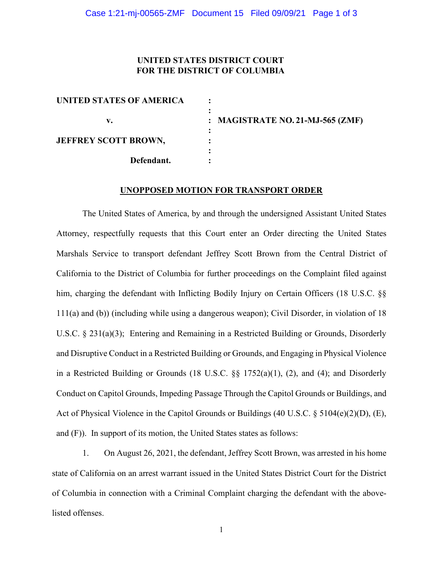#### **UNITED STATES DISTRICT COURT FOR THE DISTRICT OF COLUMBIA**

| UNITED STATES OF AMERICA    |                                  |
|-----------------------------|----------------------------------|
| v.                          | : MAGISTRATE NO. 21-MJ-565 (ZMF) |
| <b>JEFFREY SCOTT BROWN,</b> |                                  |
| Defendant.                  |                                  |

#### **UNOPPOSED MOTION FOR TRANSPORT ORDER**

The United States of America, by and through the undersigned Assistant United States Attorney, respectfully requests that this Court enter an Order directing the United States Marshals Service to transport defendant Jeffrey Scott Brown from the Central District of California to the District of Columbia for further proceedings on the Complaint filed against him, charging the defendant with Inflicting Bodily Injury on Certain Officers (18 U.S.C. §§ 111(a) and (b)) (including while using a dangerous weapon); Civil Disorder, in violation of 18 U.S.C. § 231(a)(3); Entering and Remaining in a Restricted Building or Grounds, Disorderly and Disruptive Conduct in a Restricted Building or Grounds, and Engaging in Physical Violence in a Restricted Building or Grounds (18 U.S.C. §§ 1752(a)(1), (2), and (4); and Disorderly Conduct on Capitol Grounds, Impeding Passage Through the Capitol Grounds or Buildings, and Act of Physical Violence in the Capitol Grounds or Buildings (40 U.S.C. § 5104(e)(2)(D), (E), and (F)). In support of its motion, the United States states as follows:

1. On August 26, 2021, the defendant, Jeffrey Scott Brown, was arrested in his home state of California on an arrest warrant issued in the United States District Court for the District of Columbia in connection with a Criminal Complaint charging the defendant with the abovelisted offenses.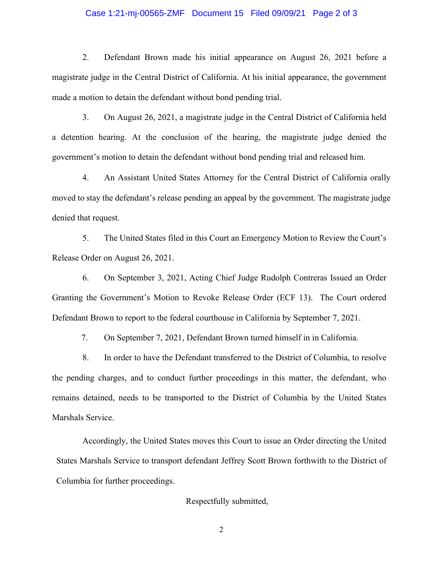#### Case 1:21-mj-00565-ZMF Document 15 Filed 09/09/21 Page 2 of 3

2. Defendant Brown made his initial appearance on August 26, 2021 before a magistrate judge in the Central District of California. At his initial appearance, the government made a motion to detain the defendant without bond pending trial.

3. On August 26, 2021, a magistrate judge in the Central District of California held a detention hearing. At the conclusion of the hearing, the magistrate judge denied the government's motion to detain the defendant without bond pending trial and released him.

4. An Assistant United States Attorney for the Central District of California orally moved to stay the defendant's release pending an appeal by the government. The magistrate judge denied that request.

5. The United States filed in this Court an Emergency Motion to Review the Court's Release Order on August 26, 2021.

6. On September 3, 2021, Acting Chief Judge Rudolph Contreras Issued an Order Granting the Government's Motion to Revoke Release Order (ECF 13). The Court ordered Defendant Brown to report to the federal courthouse in California by September 7, 2021.

7. On September 7, 2021, Defendant Brown turned himself in in California.

8. In order to have the Defendant transferred to the District of Columbia, to resolve the pending charges, and to conduct further proceedings in this matter, the defendant, who remains detained, needs to be transported to the District of Columbia by the United States Marshals Service.

Accordingly, the United States moves this Court to issue an Order directing the United States Marshals Service to transport defendant Jeffrey Scott Brown forthwith to the District of Columbia for further proceedings.

Respectfully submitted,

2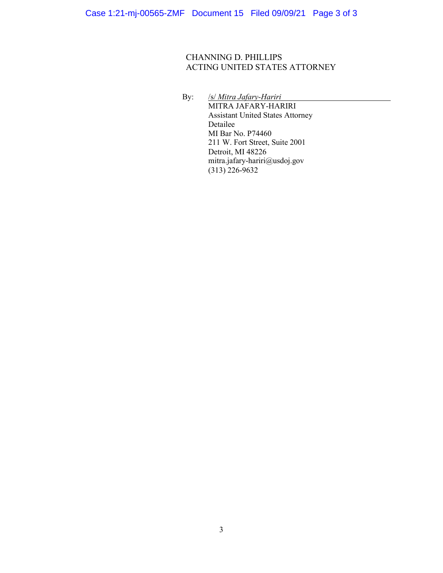### CHANNING D. PHILLIPS ACTING UNITED STATES ATTORNEY

By: /s/ *Mitra Jafary-Hariri* MITRA JAFARY-HARIRI Assistant United States Attorney Detailee MI Bar No. P74460 211 W. Fort Street, Suite 2001 Detroit, MI 48226 mitra.jafary-hariri@usdoj.gov  $(313)$  226-9632